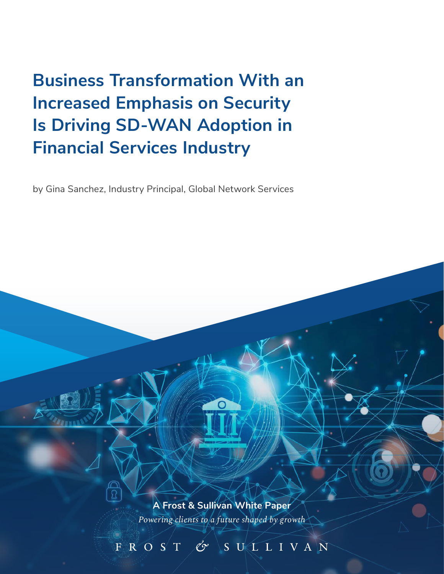**Business Transformation With an Increased Emphasis on Security Is Driving SD-WAN Adoption in Financial Services Industry**

by Gina Sanchez, Industry Principal, Global Network Services

*Powering clients to a future shaped by growth* **A Frost & Sullivan White Paper**

 $\mathscr{C}^{\infty}$ 

FROST

SULLIVAN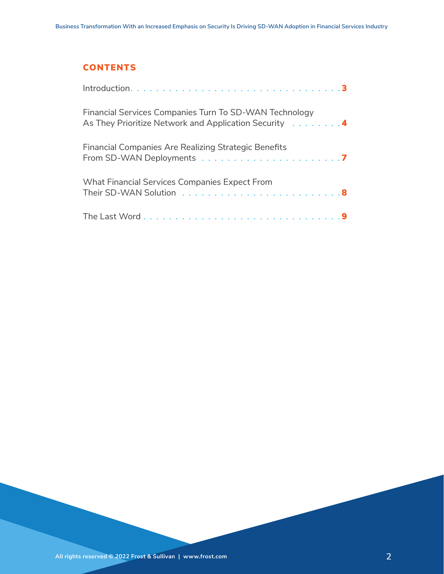### **CONTENTS**

| Financial Services Companies Turn To SD-WAN Technology<br>As They Prioritize Network and Application Security 4 |  |
|-----------------------------------------------------------------------------------------------------------------|--|
| <b>Financial Companies Are Realizing Strategic Benefits</b>                                                     |  |
| <b>What Financial Services Companies Expect From</b>                                                            |  |
|                                                                                                                 |  |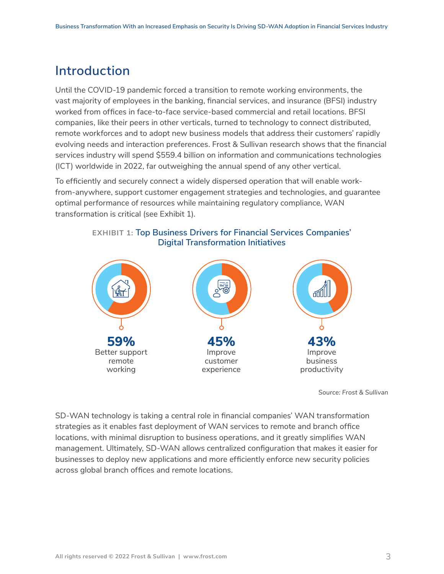# <span id="page-2-0"></span>**Introduction**

Until the COVID-19 pandemic forced a transition to remote working environments, the vast majority of employees in the banking, financial services, and insurance (BFSI) industry worked from offices in face-to-face service-based commercial and retail locations. BFSI companies, like their peers in other verticals, turned to technology to connect distributed, remote workforces and to adopt new business models that address their customers' rapidly evolving needs and interaction preferences. Frost & Sullivan research shows that the financial services industry will spend \$559.4 billion on information and communications technologies (ICT) worldwide in 2022, far outweighing the annual spend of any other vertical.

To efficiently and securely connect a widely dispersed operation that will enable workfrom-anywhere, support customer engagement strategies and technologies, and guarantee optimal performance of resources while maintaining regulatory compliance, WAN transformation is critical (see Exhibit 1).



**EXHIBIT 1: Top Business Drivers for Financial Services Companies'**



*Source: Frost & Sullivan*

SD-WAN technology is taking a central role in financial companies' WAN transformation strategies as it enables fast deployment of WAN services to remote and branch office locations, with minimal disruption to business operations, and it greatly simplifies WAN management. Ultimately, SD-WAN allows centralized configuration that makes it easier for businesses to deploy new applications and more efficiently enforce new security policies across global branch offices and remote locations.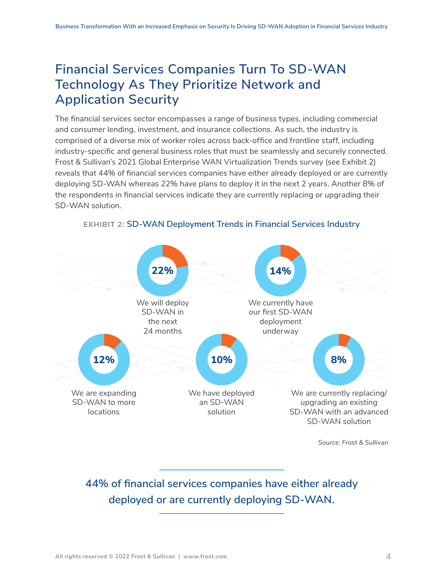# <span id="page-3-0"></span>**Financial Services Companies Turn To SD-WAN Technology As They Prioritize Network and Application Security**

The financial services sector encompasses a range of business types, including commercial and consumer lending, investment, and insurance collections. As such, the industry is comprised of a diverse mix of worker roles across back-office and frontline staff, including industry-specific and general business roles that must be seamlessly and securely connected. Frost & Sullivan's 2021 Global Enterprise WAN Virtualization Trends survey (see Exhibit 2) reveals that 44% of financial services companies have either already deployed or are currently deploying SD-WAN whereas 22% have plans to deploy it in the next 2 years. Another 8% of the respondents in financial services indicate they are currently replacing or upgrading their SD-WAN solution.



#### **EXHIBIT 2: SD-WAN Deployment Trends in Financial Services Industry**

**44% of financial services companies have either already deployed or are currently deploying SD-WAN.**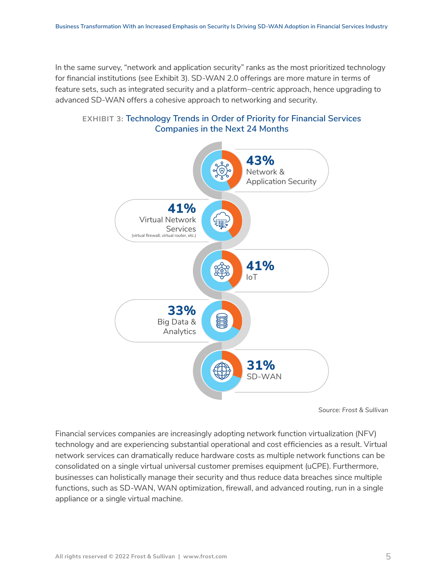In the same survey, "network and application security" ranks as the most prioritized technology for financial institutions (see Exhibit 3). SD-WAN 2.0 offerings are more mature in terms of feature sets, such as integrated security and a platform–centric approach, hence upgrading to advanced SD-WAN offers a cohesive approach to networking and security.





*Source: Frost & Sullivan*

Financial services companies are increasingly adopting network function virtualization (NFV) technology and are experiencing substantial operational and cost efficiencies as a result. Virtual network services can dramatically reduce hardware costs as multiple network functions can be consolidated on a single virtual universal customer premises equipment (uCPE). Furthermore, businesses can holistically manage their security and thus reduce data breaches since multiple functions, such as SD-WAN, WAN optimization, firewall, and advanced routing, run in a single appliance or a single virtual machine.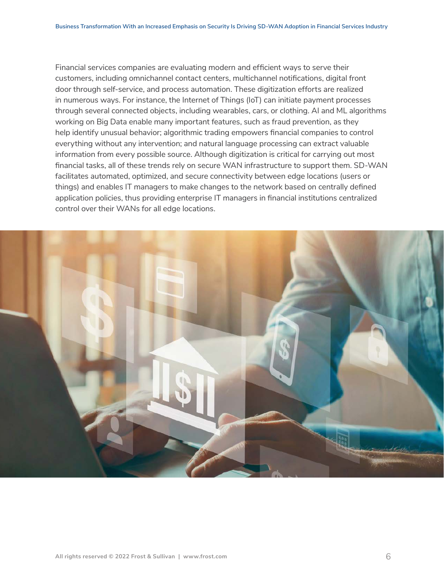Financial services companies are evaluating modern and efficient ways to serve their customers, including omnichannel contact centers, multichannel notifications, digital front door through self-service, and process automation. These digitization efforts are realized in numerous ways. For instance, the Internet of Things (IoT) can initiate payment processes through several connected objects, including wearables, cars, or clothing. AI and ML algorithms working on Big Data enable many important features, such as fraud prevention, as they help identify unusual behavior; algorithmic trading empowers financial companies to control everything without any intervention; and natural language processing can extract valuable information from every possible source. Although digitization is critical for carrying out most financial tasks, all of these trends rely on secure WAN infrastructure to support them. SD-WAN facilitates automated, optimized, and secure connectivity between edge locations (users or things) and enables IT managers to make changes to the network based on centrally defined application policies, thus providing enterprise IT managers in financial institutions centralized control over their WANs for all edge locations.

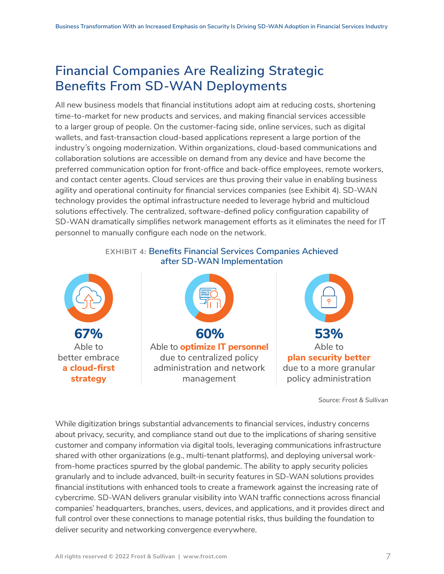# <span id="page-6-0"></span>**Financial Companies Are Realizing Strategic Benefits From SD-WAN Deployments**

All new business models that financial institutions adopt aim at reducing costs, shortening time-to-market for new products and services, and making financial services accessible to a larger group of people. On the customer-facing side, online services, such as digital wallets, and fast-transaction cloud-based applications represent a large portion of the industry´s ongoing modernization. Within organizations, cloud-based communications and collaboration solutions are accessible on demand from any device and have become the preferred communication option for front-office and back-office employees, remote workers, and contact center agents. Cloud services are thus proving their value in enabling business agility and operational continuity for financial services companies (see Exhibit 4). SD-WAN technology provides the optimal infrastructure needed to leverage hybrid and multicloud solutions effectively. The centralized, software-defined policy configuration capability of SD-WAN dramatically simplifies network management efforts as it eliminates the need for IT personnel to manually configure each node on the network.



### **EXHIBIT 4: Benefits Financial Services Companies Achieved after SD-WAN Implementation**





**plan security better** due to a more granular policy administration

*Source: Frost & Sullivan*

While digitization brings substantial advancements to financial services, industry concerns about privacy, security, and compliance stand out due to the implications of sharing sensitive customer and company information via digital tools, leveraging communications infrastructure shared with other organizations (e.g., multi-tenant platforms), and deploying universal workfrom-home practices spurred by the global pandemic. The ability to apply security policies granularly and to include advanced, built-in security features in SD-WAN solutions provides financial institutions with enhanced tools to create a framework against the increasing rate of cybercrime. SD-WAN delivers granular visibility into WAN traffic connections across financial companies' headquarters, branches, users, devices, and applications, and it provides direct and full control over these connections to manage potential risks, thus building the foundation to deliver security and networking convergence everywhere.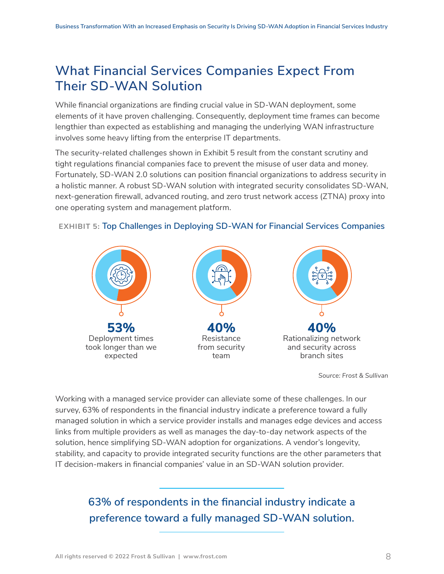# <span id="page-7-0"></span>**What Financial Services Companies Expect From Their SD-WAN Solution**

While financial organizations are finding crucial value in SD-WAN deployment, some elements of it have proven challenging. Consequently, deployment time frames can become lengthier than expected as establishing and managing the underlying WAN infrastructure involves some heavy lifting from the enterprise IT departments.

The security-related challenges shown in Exhibit 5 result from the constant scrutiny and tight regulations financial companies face to prevent the misuse of user data and money. Fortunately, SD-WAN 2.0 solutions can position financial organizations to address security in a holistic manner. A robust SD-WAN solution with integrated security consolidates SD-WAN, next-generation firewall, advanced routing, and zero trust network access (ZTNA) proxy into one operating system and management platform.



### **EXHIBIT 5: Top Challenges in Deploying SD-WAN for Financial Services Companies**

*Source: Frost & Sullivan*

Working with a managed service provider can alleviate some of these challenges. In our survey, 63% of respondents in the financial industry indicate a preference toward a fully managed solution in which a service provider installs and manages edge devices and access links from multiple providers as well as manages the day-to-day network aspects of the solution, hence simplifying SD-WAN adoption for organizations. A vendor's longevity, stability, and capacity to provide integrated security functions are the other parameters that IT decision-makers in financial companies' value in an SD-WAN solution provider.

> **63% of respondents in the financial industry indicate a preference toward a fully managed SD-WAN solution.**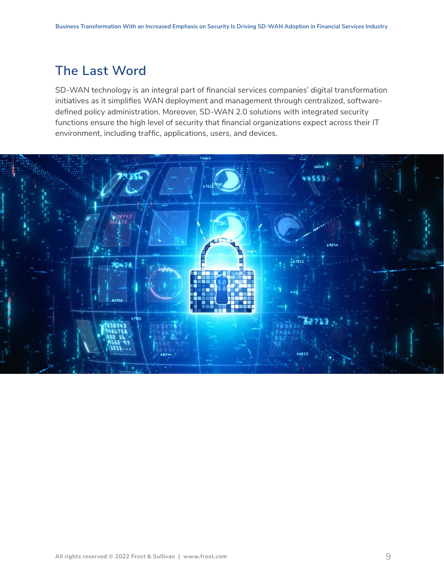# <span id="page-8-0"></span>**The Last Word**

SD-WAN technology is an integral part of financial services companies' digital transformation initiatives as it simplifies WAN deployment and management through centralized, softwaredefined policy administration. Moreover, SD-WAN 2.0 solutions with integrated security functions ensure the high level of security that financial organizations expect across their IT environment, including traffic, applications, users, and devices.